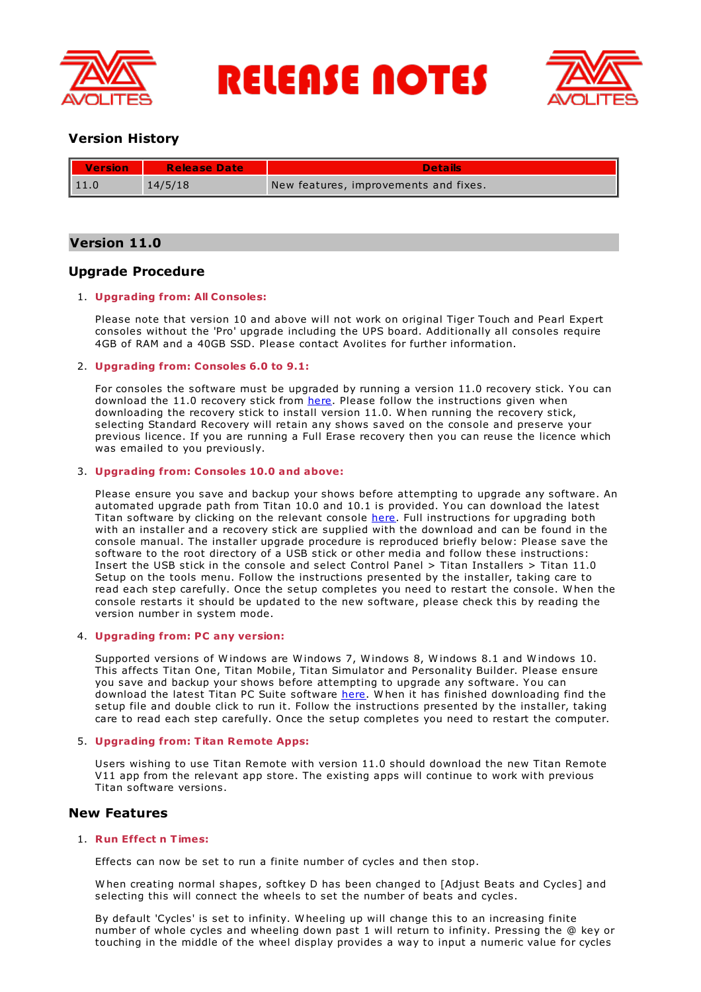

**RELEASE NOTES** 



# **Version History**

| Ш<br><b>Version</b> | <b>Release Date</b> | <b>Details</b>                        |
|---------------------|---------------------|---------------------------------------|
| 11.0                | 14/5/18             | New features, improvements and fixes. |

# **Version 11.0**

# **Upgrade Procedure**

# 1. **Upgrading from: All Consoles:**

Please note that version 10 and above will not work on original Tiger Touch and Pearl Expert consoles without the 'Pro' upgrade including the UPS board. Additionally all consoles require 4GB of RAM and a 40GB SSD. Please contact Avolites for further information.

# 2. **Upgrading from: Consoles 6.0 to 9.1:**

For consoles the software must be upgraded by running a version 11.0 recovery stick. You can download the 11.0 recovery stick from [here](http://www.avolites.com/software/latest-version). Please follow the instructions given when downloading the recovery stick to install version 11.0. W hen running the recovery stick, selecting Standard Recovery will retain any shows saved on the console and preserve your previous licence. If you are running a Full Erase recovery then you can reuse the licence which was emailed to you previously.

# 3. **Upgrading from: Consoles 10.0 and above:**

Please ensure you save and backup your shows before attempting to upgrade any software. An automated upgrade path from Titan 10.0 and 10.1 is provided. You can download the latest Titan software by clicking on the relevant console [here](http://www.avolites.com/software/latest-version). Full instructions for upgrading both with an installer and a recovery stick are supplied with the download and can be found in the console manual. The installer upgrade procedure is reproduced briefly below: Please save the software to the root directory of a USB stick or other media and follow these instructions: Insert the USB stick in the console and select Control Panel > Titan Installers > Titan 11.0 Setup on the tools menu. Follow the instructions presented by the installer, taking care to read each step carefully. Once the setup completes you need to restart the console. W hen the console restarts it should be updated to the new software, please check this by reading the version number in system mode.

# 4. **Upgrading from: PC any version:**

Supported versions of W indows are W indows 7, W indows 8, W indows 8.1 and W indows 10. This affects Titan One, Titan Mobile, Titan Simulator and Personality Builder. Please ensure you save and backup your shows before attempting to upgrade any software. You can download the latest Titan PC Suite software [here](http://www.avolites.com/software/latest-version). W hen it has finished downloading find the setup file and double click to run it. Follow the instructions presented by the installer, taking care to read each step carefully. Once the setup completes you need to restart the computer.

# 5. **Upgrading from: Titan Remote Apps:**

Users wishing to use Titan Remote with version 11.0 should download the new Titan Remote V11 app from the relevant app store. The existing apps will continue to work with previous Titan software versions.

# **New Features**

1. **Run Effect n Times:**

Effects can now be set to run a finite number of cycles and then stop.

W hen creating normal shapes, softkey D has been changed to [Adjust Beats and Cycles] and selecting this will connect the wheels to set the number of beats and cycles.

By default 'Cycles' is set to infinity. W heeling up will change this to an increasing finite number of whole cycles and wheeling down past 1 will return to infinity. Pressing the @ key or touching in the middle of the wheel display provides a way to input a numeric value for cycles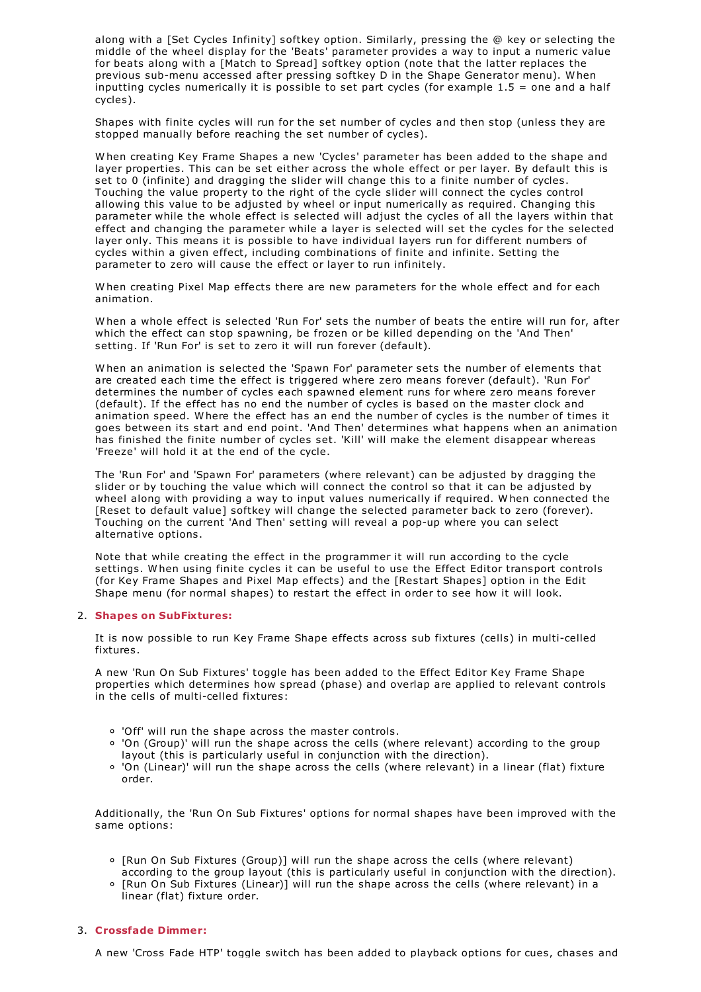along with a [Set Cycles Infinity] softkey option. Similarly, pressing the @ key or selecting the middle of the wheel display for the 'Beats' parameter provides a way to input a numeric value for beats along with a [Match to Spread] softkey option (note that the latter replaces the previous sub-menu accessed after pressing softkey D in the Shape Generator menu). W hen inputting cycles numerically it is possible to set part cycles (for example 1.5 = one and a half cycles).

Shapes with finite cycles will run for the set number of cycles and then stop (unless they are stopped manually before reaching the set number of cycles).

W hen creating Key Frame Shapes a new 'Cycles' parameter has been added to the shape and layer properties. This can be set either across the whole effect or per layer. By default this is set to 0 (infinite) and dragging the slider will change this to a finite number of cycles. Touching the value property to the right of the cycle slider will connect the cycles control allowing this value to be adjusted by wheel or input numerically as required. Changing this parameter while the whole effect is selected will adjust the cycles of all the layers within that effect and changing the parameter while a layer is selected will set the cycles for the selected layer only. This means it is possible to have individual layers run for different numbers of cycles within a given effect, including combinations of finite and infinite. Setting the parameter to zero will cause the effect or layer to run infinitely.

W hen creating Pixel Map effects there are new parameters for the whole effect and for each animation.

W hen a whole effect is selected 'Run For' sets the number of beats the entire will run for, after which the effect can stop spawning, be frozen or be killed depending on the 'And Then' setting. If 'Run For' is set to zero it will run forever (default).

W hen an animation is selected the 'Spawn For' parameter sets the number of elements that are created each time the effect is triggered where zero means forever (default). 'Run For' determines the number of cycles each spawned element runs for where zero means forever (default). If the effect has no end the number of cycles is based on the master clock and animation speed. W here the effect has an end the number of cycles is the number of times it goes between its start and end point. 'And Then' determines what happens when an animation has finished the finite number of cycles set. 'Kill' will make the element disappear whereas 'Freeze' will hold it at the end of the cycle.

The 'Run For' and 'Spawn For' parameters (where relevant) can be adjusted by dragging the slider or by touching the value which will connect the control so that it can be adjusted by wheel along with providing a way to input values numerically if required. W hen connected the [Reset to default value] softkey will change the selected parameter back to zero (forever). Touching on the current 'And Then' setting will reveal a pop-up where you can select alternative options.

Note that while creating the effect in the programmer it will run according to the cycle settings. W hen using finite cycles it can be useful to use the Effect Editor transport controls (for Key Frame Shapes and Pixel Map effects) and the [Restart Shapes] option in the Edit Shape menu (for normal shapes) to restart the effect in order to see how it will look.

### 2. **Shapes on SubFixtures:**

It is now possible to run Key Frame Shape effects across sub fixtures (cells) in multi-celled fixtures.

A new 'Run On Sub Fixtures' toggle has been added to the Effect Editor Key Frame Shape properties which determines how spread (phase) and overlap are applied to relevant controls in the cells of multi-celled fixtures:

- 'Off' will run the shape across the master controls.
- 'On (Group)' will run the shape across the cells (where relevant) according to the group layout (this is particularly useful in conjunction with the direction).
- 'On (Linear)' will run the shape across the cells (where relevant) in a linear (flat) fixture order.

Additionally, the 'Run On Sub Fixtures' options for normal shapes have been improved with the same options:

- [Run On Sub Fixtures (Group)] will run the shape across the cells (where relevant) according to the group layout (this is particularly useful in conjunction with the direction).
- [Run On Sub Fixtures (Linear)] will run the shape across the cells (where relevant) in a linear (flat) fixture order.

# 3. **Crossfade Dimmer:**

A new 'Cross Fade HTP' toggle switch has been added to playback options for cues, chases and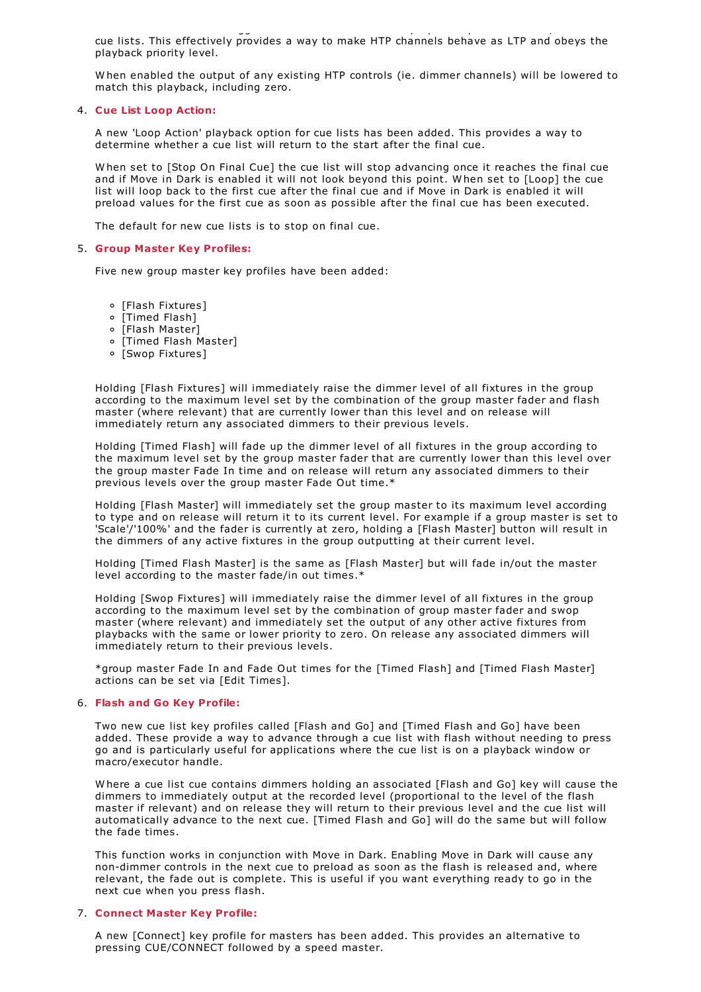A new 'Cross Fade HTP' toggle switch has been added to playback options for cues, chases and cue lists. This effectively provides a way to make HTP channels behave as LTP and obeys the playback priority level.

W hen enabled the output of any existing HTP controls (ie. dimmer channels) will be lowered to match this playback, including zero.

### 4. **Cue List Loop Action:**

A new 'Loop Action' playback option for cue lists has been added. This provides a way to determine whether a cue list will return to the start after the final cue.

W hen set to [Stop On Final Cue] the cue list will stop advancing once it reaches the final cue and if Move in Dark is enabled it will not look beyond this point. W hen set to [Loop] the cue list will loop back to the first cue after the final cue and if Move in Dark is enabled it will preload values for the first cue as soon as possible after the final cue has been executed.

The default for new cue lists is to stop on final cue.

### 5. **Group Master Key Profiles:**

Five new group master key profiles have been added:

- [Flash Fixtures]
- o [Timed Flash]
- [Flash Master]
- o [Timed Flash Master]
- [Swop Fixtures]

Holding [Flash Fixtures] will immediately raise the dimmer level of all fixtures in the group according to the maximum level set by the combination of the group master fader and flash master (where relevant) that are currently lower than this level and on release will immediately return any associated dimmers to their previous levels.

Holding [Timed Flash] will fade up the dimmer level of all fixtures in the group according to the maximum level set by the group master fader that are currently lower than this level over the group master Fade In time and on release will return any associated dimmers to their previous levels over the group master Fade Out time.\*

Holding [Flash Master] will immediately set the group master to its maximum level according to type and on release will return it to its current level. For example if a group master is set to 'Scale'/'100%' and the fader is currently at zero, holding a [Flash Master] button will result in the dimmers of any active fixtures in the group outputting at their current level.

Holding [Timed Flash Master] is the same as [Flash Master] but will fade in/out the master level according to the master fade/in out times.\*

Holding [Swop Fixtures] will immediately raise the dimmer level of all fixtures in the group according to the maximum level set by the combination of group master fader and swop master (where relevant) and immediately set the output of any other active fixtures from playbacks with the same or lower priority to zero. On release any associated dimmers will immediately return to their previous levels.

\*group master Fade In and Fade Out times for the [Timed Flash] and [Timed Flash Master] actions can be set via [Edit Times].

# 6. **Flash and Go Key Profile:**

Two new cue list key profiles called [Flash and Go] and [Timed Flash and Go] have been added. These provide a way to advance through a cue list with flash without needing to press go and is particularly useful for applications where the cue list is on a playback window or macro/executor handle.

W here a cue list cue contains dimmers holding an associated [Flash and Go] key will cause the dimmers to immediately output at the recorded level (proportional to the level of the flash master if relevant) and on release they will return to their previous level and the cue list will automatically advance to the next cue. [Timed Flash and Go] will do the same but will follow the fade times.

This function works in conjunction with Move in Dark. Enabling Move in Dark will cause any non-dimmer controls in the next cue to preload as soon as the flash is released and, where relevant, the fade out is complete. This is useful if you want everything ready to go in the next cue when you press flash.

# 7. **Connect Master Key Profile:**

A new [Connect] key profile for masters has been added. This provides an alternative to pressing CUE/CONNECT followed by a speed master.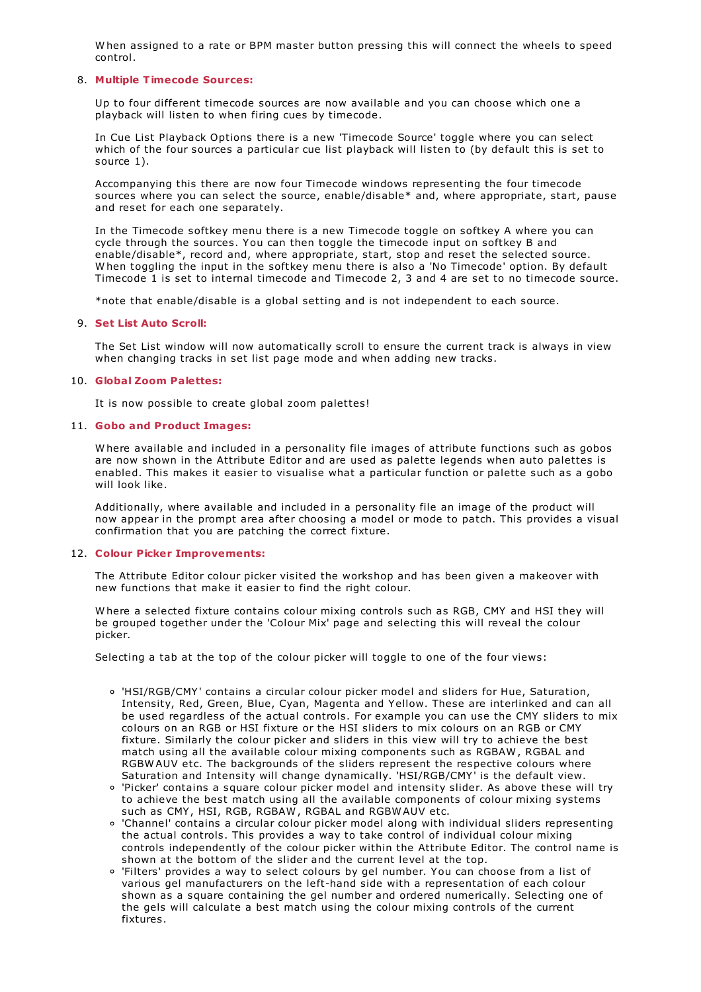W hen assigned to a rate or BPM master button pressing this will connect the wheels to speed control.

### 8. **Multiple Timecode Sources:**

Up to four different timecode sources are now available and you can choose which one a playback will listen to when firing cues by timecode.

In Cue List Playback Options there is a new 'Timecode Source' toggle where you can select which of the four sources a particular cue list playback will listen to (by default this is set to source 1).

Accompanying this there are now four Timecode windows representing the four timecode sources where you can select the source, enable/disable\* and, where appropriate, start, pause and reset for each one separately.

In the Timecode softkey menu there is a new Timecode toggle on softkey A where you can cycle through the sources. You can then toggle the timecode input on softkey B and enable/disable\*, record and, where appropriate, start, stop and reset the selected source. W hen toggling the input in the softkey menu there is also a 'No Timecode' option. By default Timecode 1 is set to internal timecode and Timecode 2, 3 and 4 are set to no timecode source.

\*note that enable/disable is a global setting and is not independent to each source.

#### 9. **Set List Auto Scroll:**

The Set List window will now automatically scroll to ensure the current track is always in view when changing tracks in set list page mode and when adding new tracks.

# 10. **Global Zoom Palettes:**

It is now possible to create global zoom palettes!

#### 11. **Gobo and Product Images:**

W here available and included in a personality file images of attribute functions such as gobos are now shown in the Attribute Editor and are used as palette legends when auto palettes is enabled. This makes it easier to visualise what a particular function or palette such as a gobo will look like.

Additionally, where available and included in a personality file an image of the product will now appear in the prompt area after choosing a model or mode to patch. This provides a visual confirmation that you are patching the correct fixture.

# 12. **Colour Picker Improvements:**

The Attribute Editor colour picker visited the workshop and has been given a makeover with new functions that make it easier to find the right colour.

W here a selected fixture contains colour mixing controls such as RGB, CMY and HSI they will be grouped together under the 'Colour Mix' page and selecting this will reveal the colour picker.

Selecting a tab at the top of the colour picker will toggle to one of the four views:

- 'HSI/RGB/CMY' contains a circular colour picker model and sliders for Hue, Saturation, Intensity, Red, Green, Blue, Cyan, Magenta and Yellow. These are interlinked and can all be used regardless of the actual controls. For example you can use the CMY sliders to mix colours on an RGB or HSI fixture or the HSI sliders to mix colours on an RGB or CMY fixture. Similarly the colour picker and sliders in this view will try to achieve the best match using all the available colour mixing components such as RGBAW , RGBAL and RGBW AUV etc. The backgrounds of the sliders represent the respective colours where Saturation and Intensity will change dynamically. 'HSI/RGB/CMY' is the default view.
- 'Picker' contains a square colour picker model and intensity slider. As above these will try to achieve the best match using all the available components of colour mixing systems such as CMY, HSI, RGB, RGBAW , RGBAL and RGBW AUV etc.
- 'Channel' contains a circular colour picker model along with individual sliders representing the actual controls. This provides a way to take control of individual colour mixing controls independently of the colour picker within the Attribute Editor. The control name is shown at the bottom of the slider and the current level at the top.
- 'Filters' provides a way to select colours by gel number. You can choose from a list of various gel manufacturers on the left-hand side with a representation of each colour shown as a square containing the gel number and ordered numerically. Selecting one of the gels will calculate a best match using the colour mixing controls of the current fixtures.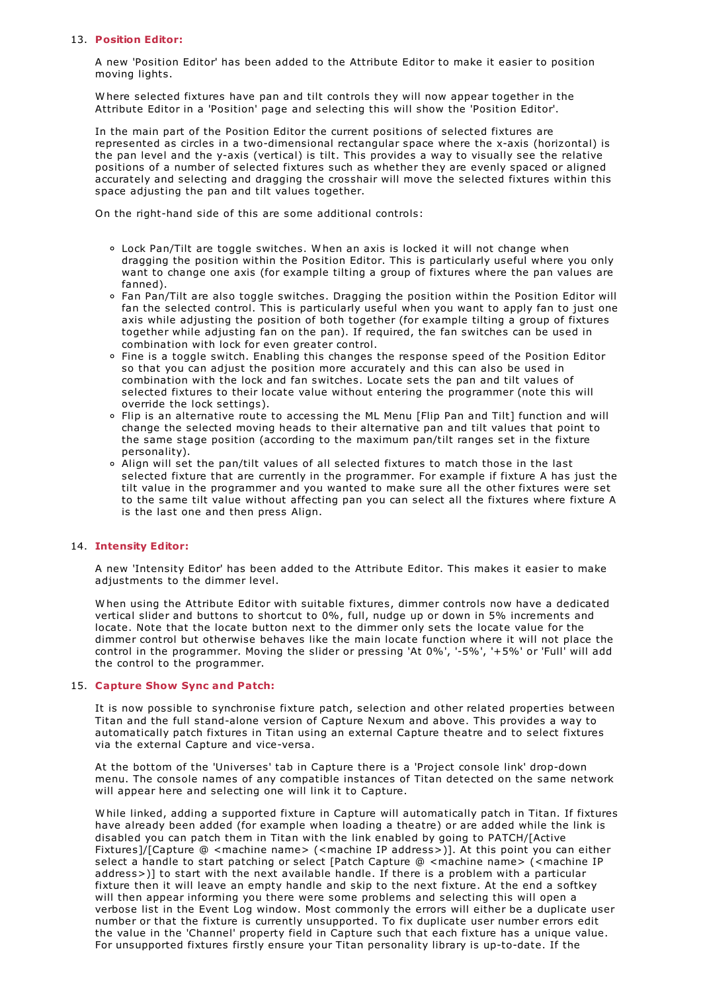### 13. **Position Editor:**

A new 'Position Editor' has been added to the Attribute Editor to make it easier to position moving lights.

W here selected fixtures have pan and tilt controls they will now appear together in the Attribute Editor in a 'Position' page and selecting this will show the 'Position Editor'.

In the main part of the Position Editor the current positions of selected fixtures are represented as circles in a two-dimensional rectangular space where the x-axis (horizontal) is the pan level and the y-axis (vertical) is tilt. This provides a way to visually see the relative positions of a number of selected fixtures such as whether they are evenly spaced or aligned accurately and selecting and dragging the crosshair will move the selected fixtures within this space adjusting the pan and tilt values together.

On the right-hand side of this are some additional controls:

- Lock Pan/Tilt are toggle switches. W hen an axis is locked it will not change when dragging the position within the Position Editor. This is particularly useful where you only want to change one axis (for example tilting a group of fixtures where the pan values are fanned).
- Fan Pan/Tilt are also toggle switches. Dragging the position within the Position Editor will fan the selected control. This is particularly useful when you want to apply fan to just one axis while adjusting the position of both together (for example tilting a group of fixtures together while adjusting fan on the pan). If required, the fan switches can be used in combination with lock for even greater control.
- $\circ$  Fine is a toggle switch. Enabling this changes the response speed of the Position Editor so that you can adjust the position more accurately and this can also be used in combination with the lock and fan switches. Locate sets the pan and tilt values of selected fixtures to their locate value without entering the programmer (note this will override the lock settings).
- Flip is an alternative route to accessing the ML Menu [Flip Pan and Tilt] function and will change the selected moving heads to their alternative pan and tilt values that point to the same stage position (according to the maximum pan/tilt ranges set in the fixture personality).
- Align will set the pan/tilt values of all selected fixtures to match those in the last selected fixture that are currently in the programmer. For example if fixture A has just the tilt value in the programmer and you wanted to make sure all the other fixtures were set to the same tilt value without affecting pan you can select all the fixtures where fixture A is the last one and then press Align.

# 14. **Intensity Editor:**

A new 'Intensity Editor' has been added to the Attribute Editor. This makes it easier to make adjustments to the dimmer level.

W hen using the Attribute Editor with suitable fixtures, dimmer controls now have a dedicated vertical slider and buttons to shortcut to 0%, full, nudge up or down in 5% increments and locate. Note that the locate button next to the dimmer only sets the locate value for the dimmer control but otherwise behaves like the main locate function where it will not place the control in the programmer. Moving the slider or pressing 'At 0%', '-5%', '+5%' or 'Full' will add the control to the programmer.

#### 15. **Capture Show Sync and Patch:**

It is now possible to synchronise fixture patch, selection and other related properties between Titan and the full stand-alone version of Capture Nexum and above. This provides a way to automatically patch fixtures in Titan using an external Capture theatre and to select fixtures via the external Capture and vice-versa.

At the bottom of the 'Universes' tab in Capture there is a 'Project console link' drop-down menu. The console names of any compatible instances of Titan detected on the same network will appear here and selecting one will link it to Capture.

W hile linked, adding a supported fixture in Capture will automatically patch in Titan. If fixtures have already been added (for example when loading a theatre) or are added while the link is disabled you can patch them in Titan with the link enabled by going to PATCH/[Active Fixtures]/[Capture @ <machine name> (<machine IP address>)]. At this point you can either select a handle to start patching or select [Patch Capture @ <machine name> (<machine IP address>)] to start with the next available handle. If there is a problem with a particular fixture then it will leave an empty handle and skip to the next fixture. At the end a softkey will then appear informing you there were some problems and selecting this will open a verbose list in the Event Log window. Most commonly the errors will either be a duplicate user number or that the fixture is currently unsupported. To fix duplicate user number errors edit the value in the 'Channel' property field in Capture such that each fixture has a unique value. For unsupported fixtures firstly ensure your Titan personality library is up-to-date. If the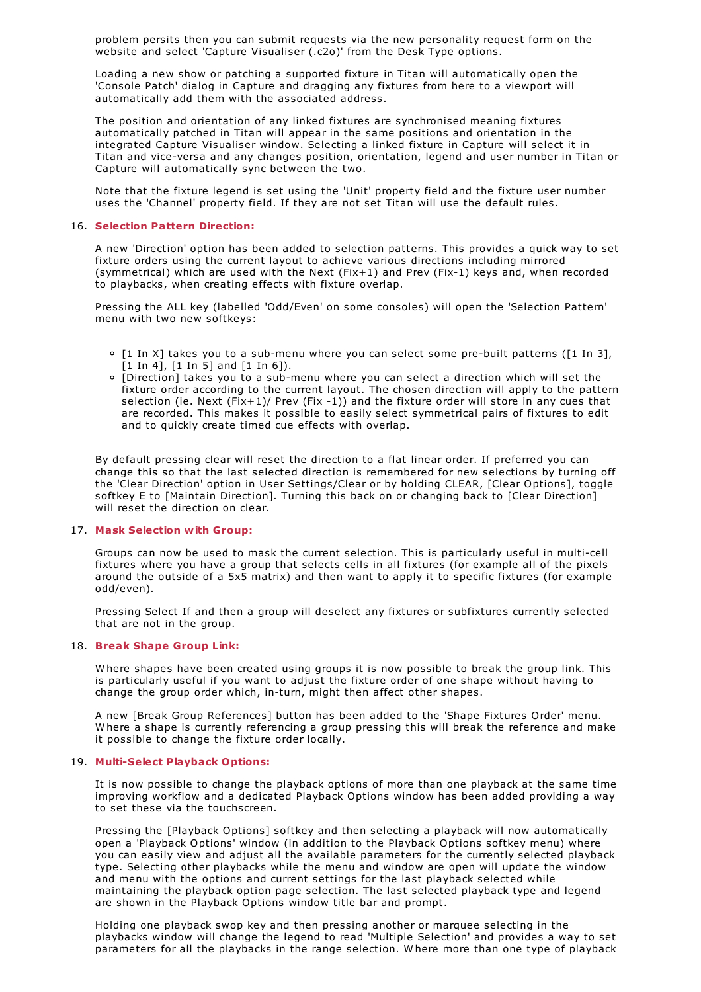problem persits then you can submit requests via the new personality request form on the website and select 'Capture Visualiser (.c2o)' from the Desk Type options.

Loading a new show or patching a supported fixture in Titan will automatically open the 'Console Patch' dialog in Capture and dragging any fixtures from here to a viewport will automatically add them with the associated address.

The position and orientation of any linked fixtures are synchronised meaning fixtures automatically patched in Titan will appear in the same positions and orientation in the integrated Capture Visualiser window. Selecting a linked fixture in Capture will select it in Titan and vice-versa and any changes position, orientation, legend and user number in Titan or Capture will automatically sync between the two.

Note that the fixture legend is set using the 'Unit' property field and the fixture user number uses the 'Channel' property field. If they are not set Titan will use the default rules.

# 16. **Selection Pattern Direction:**

A new 'Direction' option has been added to selection patterns. This provides a quick way to set fixture orders using the current layout to achieve various directions including mirrored (symmetrical) which are used with the Next (Fix+1) and Prev (Fix-1) keys and, when recorded to playbacks, when creating effects with fixture overlap.

Pressing the ALL key (labelled 'Odd/Even' on some consoles) will open the 'Selection Pattern' menu with two new softkeys:

- [1 In X] takes you to a sub-menu where you can select some pre-built patterns ([1 In 3], [1 In 4], [1 In 5] and [1 In 6]).
- [Direction] takes you to a sub-menu where you can select a direction which will set the fixture order according to the current layout. The chosen direction will apply to the pattern selection (ie. Next (Fix+1)/ Prev (Fix -1)) and the fixture order will store in any cues that are recorded. This makes it possible to easily select symmetrical pairs of fixtures to edit and to quickly create timed cue effects with overlap.

By default pressing clear will reset the direction to a flat linear order. If preferred you can change this so that the last selected direction is remembered for new selections by turning off the 'Clear Direction' option in User Settings/Clear or by holding CLEAR, [Clear Options], toggle softkey E to [Maintain Direction]. Turning this back on or changing back to [Clear Direction] will reset the direction on clear.

#### 17. **Mask Selection with Group:**

Groups can now be used to mask the current selection. This is particularly useful in multi-cell fixtures where you have a group that selects cells in all fixtures (for example all of the pixels around the outside of a 5x5 matrix) and then want to apply it to specific fixtures (for example odd/even).

Pressing Select If and then a group will deselect any fixtures or subfixtures currently selected that are not in the group.

#### 18. **Break Shape Group Link:**

W here shapes have been created using groups it is now possible to break the group link. This is particularly useful if you want to adjust the fixture order of one shape without having to change the group order which, in-turn, might then affect other shapes.

A new [Break Group References] button has been added to the 'Shape Fixtures Order' menu. W here a shape is currently referencing a group pressing this will break the reference and make it possible to change the fixture order locally.

#### 19. **Multi-Select Playback Options:**

It is now possible to change the playback options of more than one playback at the same time improving workflow and a dedicated Playback Options window has been added providing a way to set these via the touchscreen.

Pressing the [Playback Options] softkey and then selecting a playback will now automatically open a 'Playback Options' window (in addition to the Playback Options softkey menu) where you can easily view and adjust all the available parameters for the currently selected playback type. Selecting other playbacks while the menu and window are open will update the window and menu with the options and current settings for the last playback selected while maintaining the playback option page selection. The last selected playback type and legend are shown in the Playback Options window title bar and prompt.

Holding one playback swop key and then pressing another or marquee selecting in the playbacks window will change the legend to read 'Multiple Selection' and provides a way to set parameters for all the playbacks in the range selection. W here more than one type of playback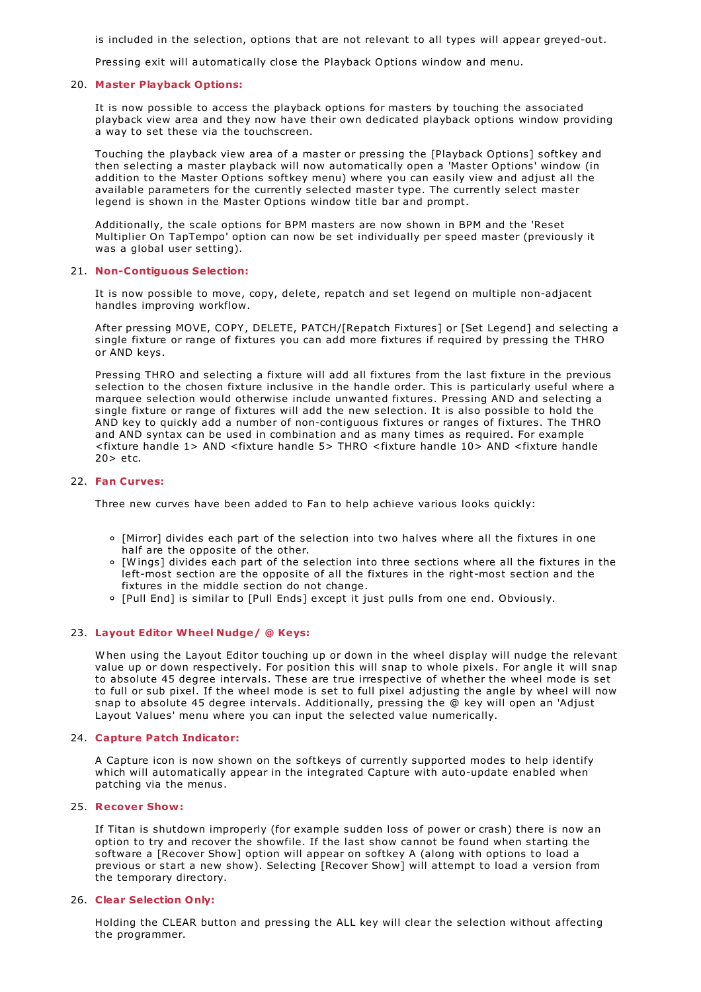is included in the selection, options that are not relevant to all types will appear greyed-out.

Pressing exit will automatically close the Playback Options window and menu.

### 20. **Master Playback Options:**

It is now possible to access the playback options for masters by touching the associated playback view area and they now have their own dedicated playback options window providing a way to set these via the touchscreen.

Touching the playback view area of a master or pressing the [Playback Options] softkey and then selecting a master playback will now automatically open a 'Master Options' window (in addition to the Master Options softkey menu) where you can easily view and adjust all the available parameters for the currently selected master type. The currently select master legend is shown in the Master Options window title bar and prompt.

Additionally, the scale options for BPM masters are now shown in BPM and the 'Reset Multiplier On TapTempo' option can now be set individually per speed master (previously it was a global user setting).

### 21. **Non-Contiguous Selection:**

It is now possible to move, copy, delete, repatch and set legend on multiple non-adjacent handles improving workflow.

After pressing MOVE, COPY, DELETE, PATCH/[Repatch Fixtures] or [Set Legend] and selecting a single fixture or range of fixtures you can add more fixtures if required by pressing the THRO or AND keys.

Pressing THRO and selecting a fixture will add all fixtures from the last fixture in the previous selection to the chosen fixture inclusive in the handle order. This is particularly useful where a marquee selection would otherwise include unwanted fixtures. Pressing AND and selecting a single fixture or range of fixtures will add the new selection. It is also possible to hold the AND key to quickly add a number of non-contiguous fixtures or ranges of fixtures. The THRO and AND syntax can be used in combination and as many times as required. For example <fixture handle 1> AND <fixture handle 5> THRO <fixture handle 10> AND <fixture handle 20> etc.

### 22. **Fan Curves:**

Three new curves have been added to Fan to help achieve various looks quickly:

- [Mirror] divides each part of the selection into two halves where all the fixtures in one half are the opposite of the other.
- $\circ$  [Wings] divides each part of the selection into three sections where all the fixtures in the left-most section are the opposite of all the fixtures in the right-most section and the fixtures in the middle section do not change.
- [Pull End] is similar to [Pull Ends] except it just pulls from one end. Obviously.

### 23. **Layout Editor Wheel Nudge/ @ Keys:**

W hen using the Layout Editor touching up or down in the wheel display will nudge the relevant value up or down respectively. For position this will snap to whole pixels. For angle it will snap to absolute 45 degree intervals. These are true irrespective of whether the wheel mode is set to full or sub pixel. If the wheel mode is set to full pixel adjusting the angle by wheel will now snap to absolute 45 degree intervals. Additionally, pressing the @ key will open an 'Adjust Layout Values' menu where you can input the selected value numerically.

#### 24. **Capture Patch Indicator:**

A Capture icon is now shown on the softkeys of currently supported modes to help identify which will automatically appear in the integrated Capture with auto-update enabled when patching via the menus.

# 25. **Recover Show:**

If Titan is shutdown improperly (for example sudden loss of power or crash) there is now an option to try and recover the showfile. If the last show cannot be found when starting the software a [Recover Show] option will appear on softkey A (along with options to load a previous or start a new show). Selecting [Recover Show] will attempt to load a version from the temporary directory.

#### 26. **Clear Selection Only:**

Holding the CLEAR button and pressing the ALL key will clear the selection without affecting the programmer.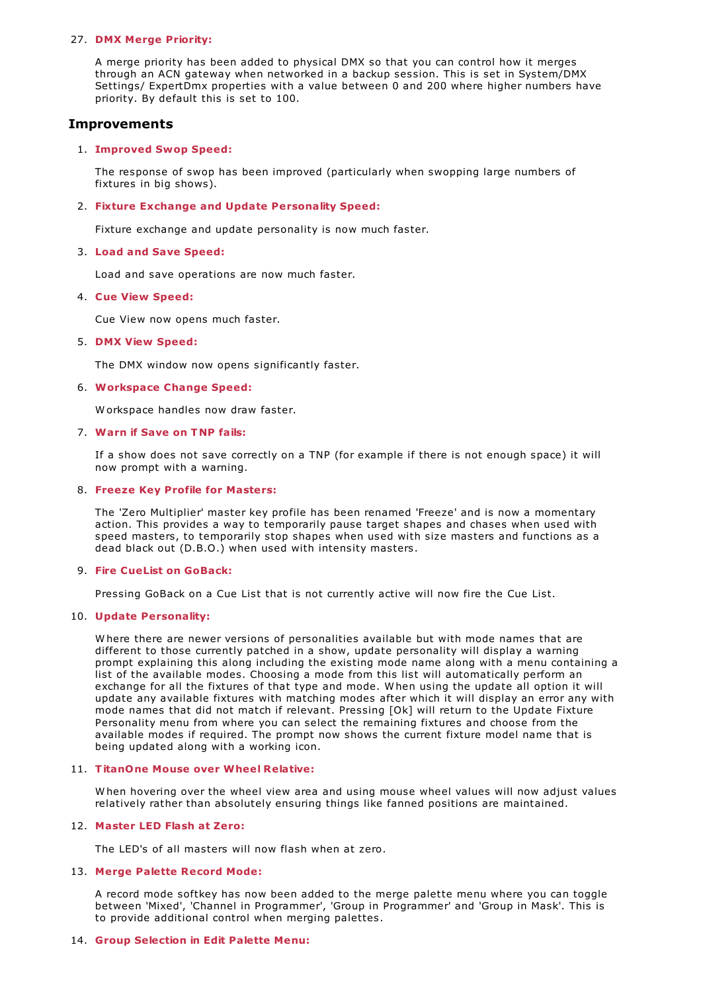### 27. **DMX Merge Priority:**

A merge priority has been added to physical DMX so that you can control how it merges through an ACN gateway when networked in a backup session. This is set in System/DMX Settings/ ExpertDmx properties with a value between 0 and 200 where higher numbers have priority. By default this is set to 100.

# **Improvements**

### 1. **Improved Swop Speed:**

The response of swop has been improved (particularly when swopping large numbers of fixtures in big shows).

# 2. **Fixture Exchange and Update Personality Speed:**

Fixture exchange and update personality is now much faster.

# 3. **Load and Save Speed:**

Load and save operations are now much faster.

### 4. **Cue View Speed:**

Cue View now opens much faster.

### 5. **DMX View Speed:**

The DMX window now opens significantly faster.

### 6. **Workspace Change Speed:**

W orkspace handles now draw faster.

### 7. **Warn if Save on TNP fails:**

If a show does not save correctly on a TNP (for example if there is not enough space) it will now prompt with a warning.

### 8. **Freeze Key Profile for Masters:**

The 'Zero Multiplier' master key profile has been renamed 'Freeze' and is now a momentary action. This provides a way to temporarily pause target shapes and chases when used with speed masters, to temporarily stop shapes when used with size masters and functions as a dead black out (D.B.O.) when used with intensity masters.

# 9. **Fire CueList on GoBack:**

Pressing GoBack on a Cue List that is not currently active will now fire the Cue List.

### 10. **Update Personality:**

W here there are newer versions of personalities available but with mode names that are different to those currently patched in a show, update personality will display a warning prompt explaining this along including the existing mode name along with a menu containing a list of the available modes. Choosing a mode from this list will automatically perform an exchange for all the fixtures of that type and mode. W hen using the update all option it will update any available fixtures with matching modes after which it will display an error any with mode names that did not match if relevant. Pressing [Ok] will return to the Update Fixture Personality menu from where you can select the remaining fixtures and choose from the available modes if required. The prompt now shows the current fixture model name that is being updated along with a working icon.

### 11. **TitanOne Mouse over Wheel Relative:**

W hen hovering over the wheel view area and using mouse wheel values will now adjust values relatively rather than absolutely ensuring things like fanned positions are maintained.

#### 12. **Master LED Flash at Zero:**

The LED's of all masters will now flash when at zero.

# 13. **Merge Palette Record Mode:**

A record mode softkey has now been added to the merge palette menu where you can toggle between 'Mixed', 'Channel in Programmer', 'Group in Programmer' and 'Group in Mask'. This is to provide additional control when merging palettes.

# 14. **Group Selection in Edit Palette Menu:**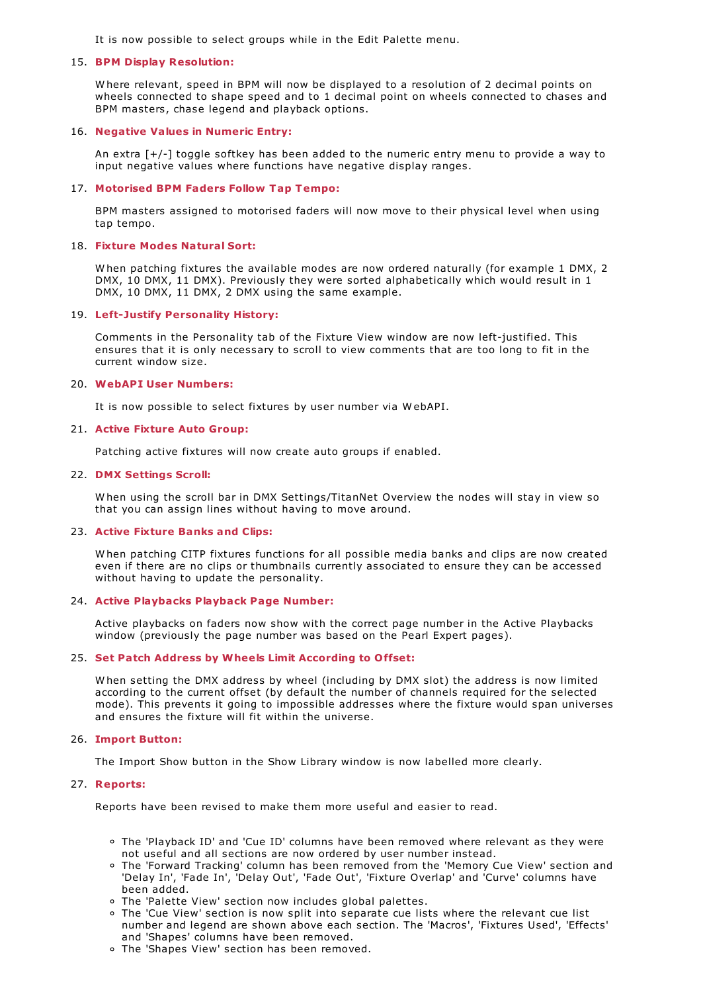It is now possible to select groups while in the Edit Palette menu.

### 15. **BPM Display Resolution:**

W here relevant, speed in BPM will now be displayed to a resolution of 2 decimal points on wheels connected to shape speed and to 1 decimal point on wheels connected to chases and BPM masters, chase legend and playback options.

# 16. **Negative Values in Numeric Entry:**

An extra [+/-] toggle softkey has been added to the numeric entry menu to provide a way to input negative values where functions have negative display ranges.

# 17. **Motorised BPM Faders Follow Tap Tempo:**

BPM masters assigned to motorised faders will now move to their physical level when using tap tempo.

# 18. **Fixture Modes Natural Sort:**

W hen patching fixtures the available modes are now ordered naturally (for example 1 DMX, 2 DMX, 10 DMX, 11 DMX). Previously they were sorted alphabetically which would result in 1 DMX, 10 DMX, 11 DMX, 2 DMX using the same example.

# 19. **Left-Justify Personality History:**

Comments in the Personality tab of the Fixture View window are now left-justified. This ensures that it is only necessary to scroll to view comments that are too long to fit in the current window size.

# 20. **WebAPI User Numbers:**

It is now possible to select fixtures by user number via W ebAPI.

### 21. **Active Fixture Auto Group:**

Patching active fixtures will now create auto groups if enabled.

### 22. **DMX Settings Scroll:**

W hen using the scroll bar in DMX Settings/TitanNet Overview the nodes will stay in view so that you can assign lines without having to move around.

# 23. **Active Fixture Banks and Clips:**

W hen patching CITP fixtures functions for all possible media banks and clips are now created even if there are no clips or thumbnails currently associated to ensure they can be accessed without having to update the personality.

# 24. **Active Playbacks Playback Page Number:**

Active playbacks on faders now show with the correct page number in the Active Playbacks window (previously the page number was based on the Pearl Expert pages).

# 25. **Set Patch Address by Wheels Limit According to Offset:**

W hen setting the DMX address by wheel (including by DMX slot) the address is now limited according to the current offset (by default the number of channels required for the selected mode). This prevents it going to impossible addresses where the fixture would span universes and ensures the fixture will fit within the universe.

# 26. **Import Button:**

The Import Show button in the Show Library window is now labelled more clearly.

# 27. **Reports:**

Reports have been revised to make them more useful and easier to read.

- The 'Playback ID' and 'Cue ID' columns have been removed where relevant as they were not useful and all sections are now ordered by user number instead.
- o The 'Forward Tracking' column has been removed from the 'Memory Cue View' section and 'Delay In', 'Fade In', 'Delay Out', 'Fade Out', 'Fixture Overlap' and 'Curve' columns have been added.
- The 'Palette View' section now includes global palettes.
- o The 'Cue View' section is now split into separate cue lists where the relevant cue list number and legend are shown above each section. The 'Macros', 'Fixtures Used', 'Effects' and 'Shapes' columns have been removed.
- The 'Shapes View' section has been removed.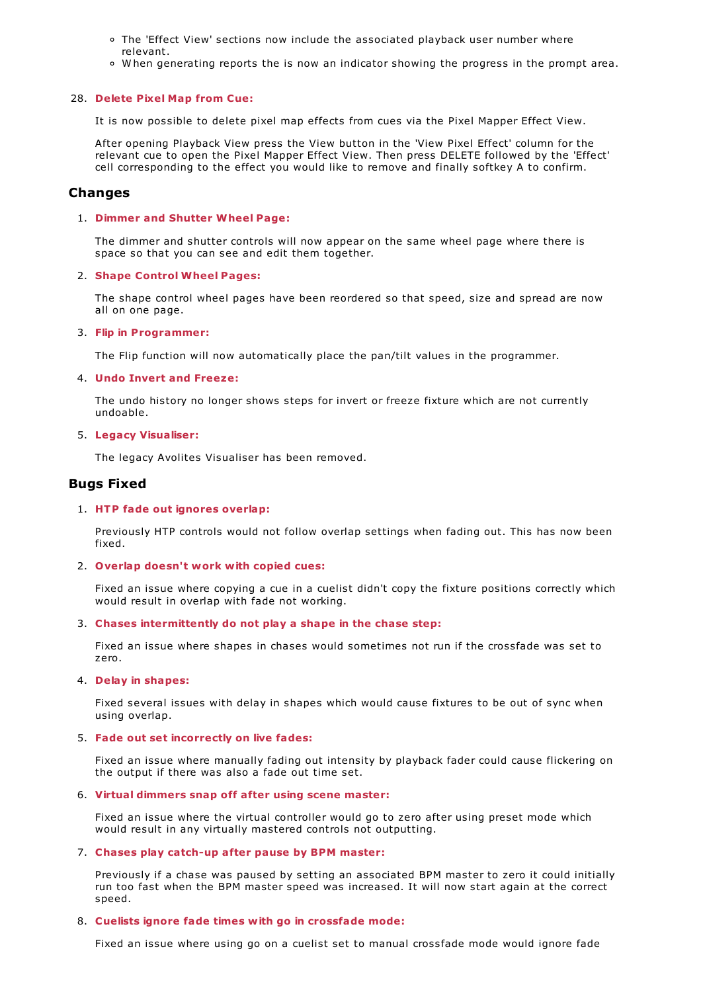- $\circ$  The 'Effect View' sections now include the associated playback user number where relevant.
- W hen generating reports the is now an indicator showing the progress in the prompt area.

### 28. **Delete Pixel Map from Cue:**

It is now possible to delete pixel map effects from cues via the Pixel Mapper Effect View.

After opening Playback View press the View button in the 'View Pixel Effect' column for the relevant cue to open the Pixel Mapper Effect View. Then press DELETE followed by the 'Effect' cell corresponding to the effect you would like to remove and finally softkey A to confirm.

# **Changes**

#### 1. **Dimmer and Shutter Wheel Page:**

The dimmer and shutter controls will now appear on the same wheel page where there is space so that you can see and edit them together.

### 2. **Shape Control Wheel Pages:**

The shape control wheel pages have been reordered so that speed, size and spread are now all on one page.

#### 3. **Flip in Programmer:**

The Flip function will now automatically place the pan/tilt values in the programmer.

### 4. **Undo Invert and Freeze:**

The undo history no longer shows steps for invert or freeze fixture which are not currently undoable.

### 5. **Legacy Visualiser:**

The legacy Avolites Visualiser has been removed.

# **Bugs Fixed**

#### 1. **HTP fade out ignores overlap:**

Previously HTP controls would not follow overlap settings when fading out. This has now been fixed.

# 2. **Overlap doesn't work with copied cues:**

Fixed an issue where copying a cue in a cuelist didn't copy the fixture positions correctly which would result in overlap with fade not working.

#### 3. **Chases intermittently do not play a shape in the chase step:**

Fixed an issue where shapes in chases would sometimes not run if the crossfade was set to zero.

### 4. **Delay in shapes:**

Fixed several issues with delay in shapes which would cause fixtures to be out of sync when using overlap.

#### 5. **Fade out set incorrectly on live fades:**

Fixed an issue where manually fading out intensity by playback fader could cause flickering on the output if there was also a fade out time set.

# 6. **Virtual dimmers snap off after using scene master:**

Fixed an issue where the virtual controller would go to zero after using preset mode which would result in any virtually mastered controls not outputting.

#### 7. **Chases play catch-up after pause by BPM master:**

Previously if a chase was paused by setting an associated BPM master to zero it could initially run too fast when the BPM master speed was increased. It will now start again at the correct speed.

#### 8. **Cuelists ignore fade times with go in crossfade mode:**

Fixed an issue where using go on a cuelist set to manual crossfade mode would ignore fade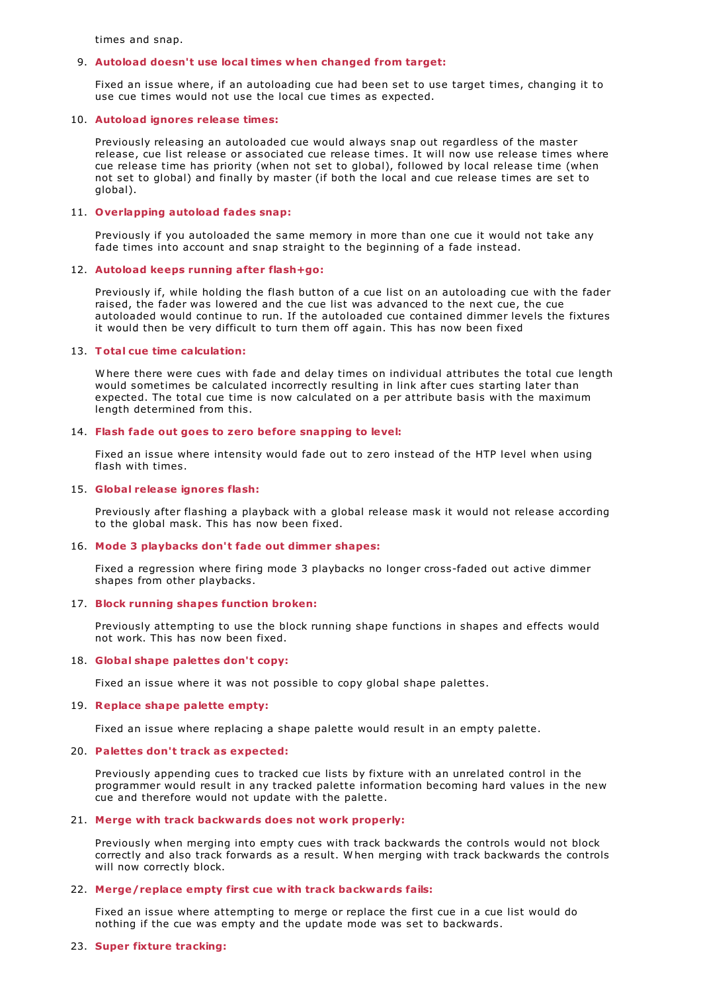times and snap.

### 9. **Autoload doesn't use local times when changed from target:**

Fixed an issue where, if an autoloading cue had been set to use target times, changing it to use cue times would not use the local cue times as expected.

#### 10. **Autoload ignores release times:**

Previously releasing an autoloaded cue would always snap out regardless of the master release, cue list release or associated cue release times. It will now use release times where cue release time has priority (when not set to global), followed by local release time (when not set to global) and finally by master (if both the local and cue release times are set to global).

### 11. **Overlapping autoload fades snap:**

Previously if you autoloaded the same memory in more than one cue it would not take any fade times into account and snap straight to the beginning of a fade instead.

#### 12. **Autoload keeps running after flash+go:**

Previously if, while holding the flash button of a cue list on an autoloading cue with the fader raised, the fader was lowered and the cue list was advanced to the next cue, the cue autoloaded would continue to run. If the autoloaded cue contained dimmer levels the fixtures it would then be very difficult to turn them off again. This has now been fixed

#### 13. **Total cue time calculation:**

W here there were cues with fade and delay times on individual attributes the total cue length would sometimes be calculated incorrectly resulting in link after cues starting later than expected. The total cue time is now calculated on a per attribute basis with the maximum length determined from this.

#### 14. **Flash fade out goes to zero before snapping to level:**

Fixed an issue where intensity would fade out to zero instead of the HTP level when using flash with times.

### 15. **Global release ignores flash:**

Previously after flashing a playback with a global release mask it would not release according to the global mask. This has now been fixed.

### 16. **Mode 3 playbacks don't fade out dimmer shapes:**

Fixed a regression where firing mode 3 playbacks no longer cross-faded out active dimmer shapes from other playbacks.

#### 17. **Block running shapes function broken:**

Previously attempting to use the block running shape functions in shapes and effects would not work. This has now been fixed.

#### 18. **Global shape palettes don't copy:**

Fixed an issue where it was not possible to copy global shape palettes.

#### 19. **Replace shape palette empty:**

Fixed an issue where replacing a shape palette would result in an empty palette.

#### 20. **Palettes don't track as expected:**

Previously appending cues to tracked cue lists by fixture with an unrelated control in the programmer would result in any tracked palette information becoming hard values in the new cue and therefore would not update with the palette.

### 21. **Merge with track backwards does not work properly:**

Previously when merging into empty cues with track backwards the controls would not block correctly and also track forwards as a result. W hen merging with track backwards the controls will now correctly block.

### 22. **Merge/replace empty first cue with track backwards fails:**

Fixed an issue where attempting to merge or replace the first cue in a cue list would do nothing if the cue was empty and the update mode was set to backwards.

#### 23. **Super fixture tracking:**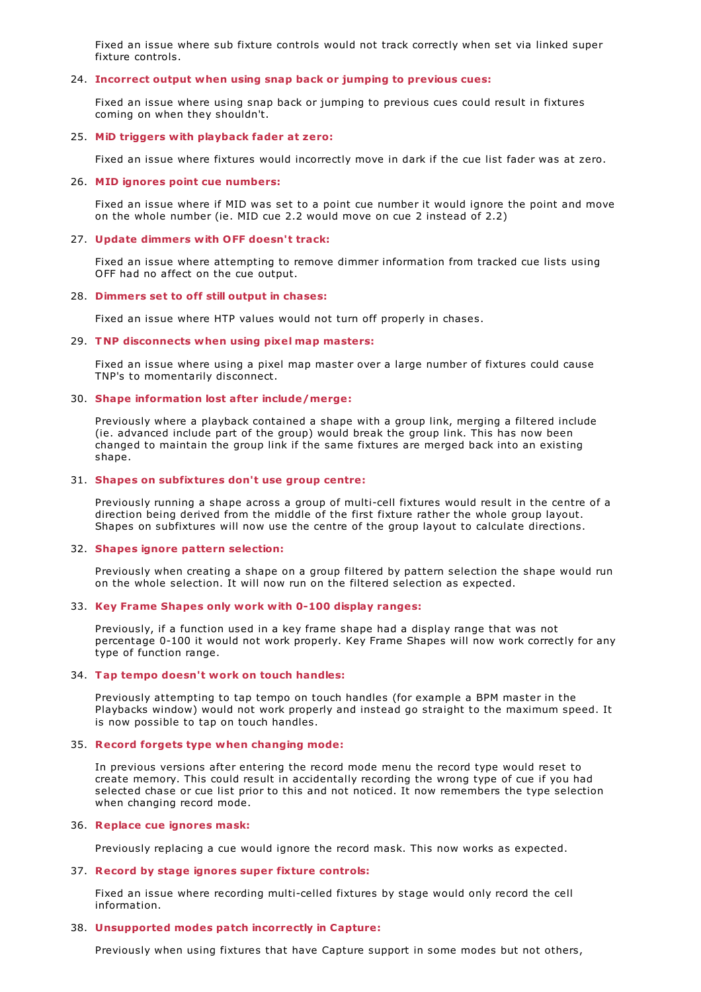Fixed an issue where sub fixture controls would not track correctly when set via linked super fixture controls.

### 24. **Incorrect output when using snap back or jumping to previous cues:**

Fixed an issue where using snap back or jumping to previous cues could result in fixtures coming on when they shouldn't.

### 25. **MiD triggers with playback fader at zero:**

Fixed an issue where fixtures would incorrectly move in dark if the cue list fader was at zero.

#### 26. **MID ignores point cue numbers:**

Fixed an issue where if MID was set to a point cue number it would ignore the point and move on the whole number (ie. MID cue 2.2 would move on cue 2 instead of 2.2)

#### 27. **Update dimmers with OFF doesn't track:**

Fixed an issue where attempting to remove dimmer information from tracked cue lists using OFF had no affect on the cue output.

#### 28. **Dimmers set to off still output in chases:**

Fixed an issue where HTP values would not turn off properly in chases.

### 29. **TNP disconnects when using pixel map masters:**

Fixed an issue where using a pixel map master over a large number of fixtures could cause TNP's to momentarily disconnect.

#### 30. **Shape information lost after include/merge:**

Previously where a playback contained a shape with a group link, merging a filtered include (ie. advanced include part of the group) would break the group link. This has now been changed to maintain the group link if the same fixtures are merged back into an existing shape.

#### 31. **Shapes on subfixtures don't use group centre:**

Previously running a shape across a group of multi-cell fixtures would result in the centre of a direction being derived from the middle of the first fixture rather the whole group layout. Shapes on subfixtures will now use the centre of the group layout to calculate directions.

### 32. **Shapes ignore pattern selection:**

Previously when creating a shape on a group filtered by pattern selection the shape would run on the whole selection. It will now run on the filtered selection as expected.

# 33. **Key Frame Shapes only work with 0-100 display ranges:**

Previously, if a function used in a key frame shape had a display range that was not percentage 0-100 it would not work properly. Key Frame Shapes will now work correctly for any type of function range.

#### 34. **Tap tempo doesn't work on touch handles:**

Previously attempting to tap tempo on touch handles (for example a BPM master in the Playbacks window) would not work properly and instead go straight to the maximum speed. It is now possible to tap on touch handles.

#### 35. **Record forgets type when changing mode:**

In previous versions after entering the record mode menu the record type would reset to create memory. This could result in accidentally recording the wrong type of cue if you had selected chase or cue list prior to this and not noticed. It now remembers the type selection when changing record mode.

#### 36. **Replace cue ignores mask:**

Previously replacing a cue would ignore the record mask. This now works as expected.

#### 37. **Record by stage ignores super fixture controls:**

Fixed an issue where recording multi-celled fixtures by stage would only record the cell information.

#### 38. **Unsupported modes patch incorrectly in Capture:**

Previously when using fixtures that have Capture support in some modes but not others,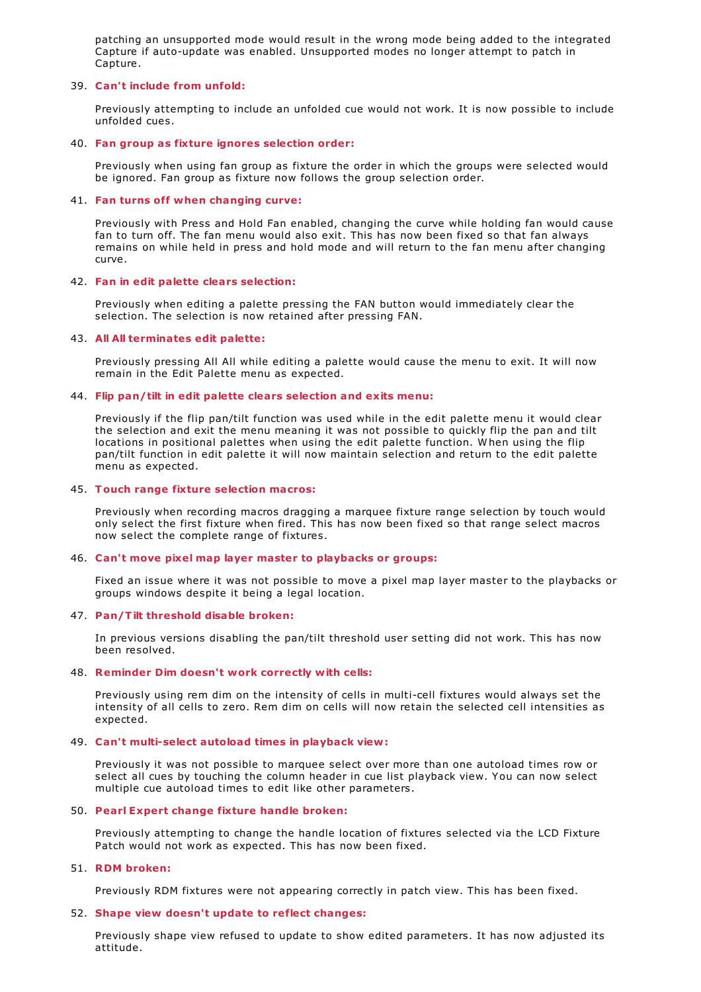patching an unsupported mode would result in the wrong mode being added to the integrated Capture if auto-update was enabled. Unsupported modes no longer attempt to patch in Capture.

# 39. **Can't include from unfold:**

Previously attempting to include an unfolded cue would not work. It is now possible to include unfolded cues.

#### 40. **Fan group as fixture ignores selection order:**

Previously when using fan group as fixture the order in which the groups were selected would be ignored. Fan group as fixture now follows the group selection order.

#### 41. **Fan turns off when changing curve:**

Previously with Press and Hold Fan enabled, changing the curve while holding fan would cause fan to turn off. The fan menu would also exit. This has now been fixed so that fan always remains on while held in press and hold mode and will return to the fan menu after changing curve.

#### 42. **Fan in edit palette clears selection:**

Previously when editing a palette pressing the FAN button would immediately clear the selection. The selection is now retained after pressing FAN.

#### 43. **All All terminates edit palette:**

Previously pressing All All while editing a palette would cause the menu to exit. It will now remain in the Edit Palette menu as expected.

### 44. **Flip pan/tilt in edit palette clears selection and exits menu:**

Previously if the flip pan/tilt function was used while in the edit palette menu it would clear the selection and exit the menu meaning it was not possible to quickly flip the pan and tilt locations in positional palettes when using the edit palette function. W hen using the flip pan/tilt function in edit palette it will now maintain selection and return to the edit palette menu as expected.

### 45. **Touch range fixture selection macros:**

Previously when recording macros dragging a marquee fixture range selection by touch would only select the first fixture when fired. This has now been fixed so that range select macros now select the complete range of fixtures.

#### 46. **Can't move pixel map layer master to playbacks or groups:**

Fixed an issue where it was not possible to move a pixel map layer master to the playbacks or groups windows despite it being a legal location.

#### 47. **Pan/Tilt threshold disable broken:**

In previous versions disabling the pan/tilt threshold user setting did not work. This has now been resolved.

#### 48. **Reminder Dim doesn't work correctly with cells:**

Previously using rem dim on the intensity of cells in multi-cell fixtures would always set the intensity of all cells to zero. Rem dim on cells will now retain the selected cell intensities as expected.

# 49. **Can't multi-select autoload times in playback view:**

Previously it was not possible to marquee select over more than one autoload times row or select all cues by touching the column header in cue list playback view. You can now select multiple cue autoload times to edit like other parameters.

### 50. **Pearl Expert change fixture handle broken:**

Previously attempting to change the handle location of fixtures selected via the LCD Fixture Patch would not work as expected. This has now been fixed.

# 51. **RDM broken:**

Previously RDM fixtures were not appearing correctly in patch view. This has been fixed.

### 52. **Shape view doesn't update to reflect changes:**

Previously shape view refused to update to show edited parameters. It has now adjusted its attitude.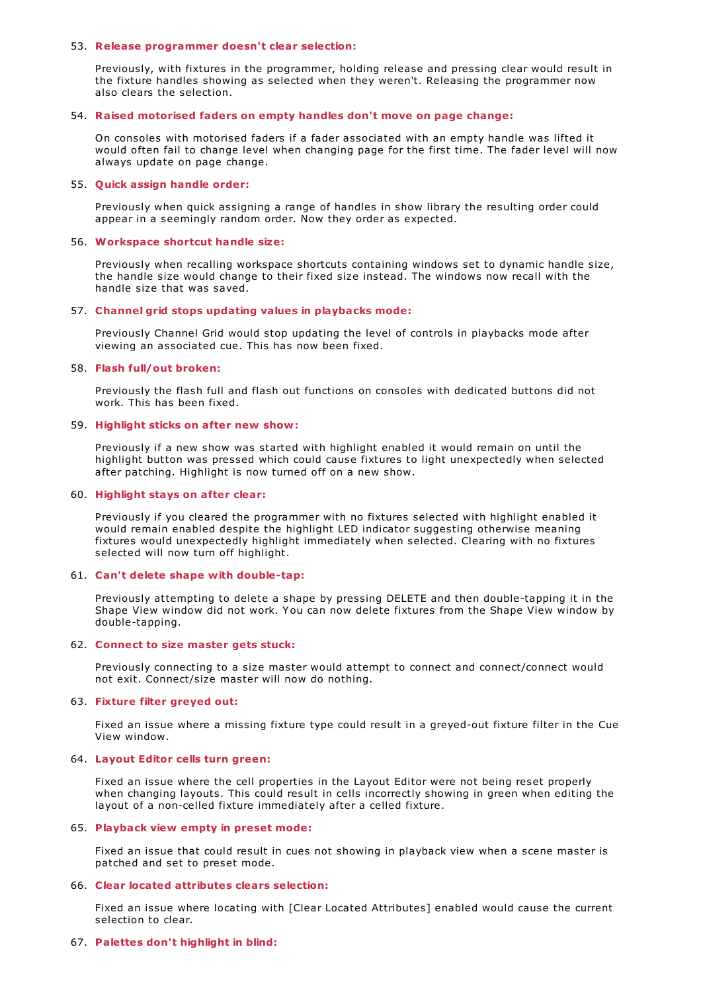### 53. **Release programmer doesn't clear selection:**

Previously, with fixtures in the programmer, holding release and pressing clear would result in the fixture handles showing as selected when they weren't. Releasing the programmer now also clears the selection.

### 54. **Raised motorised faders on empty handles don't move on page change:**

On consoles with motorised faders if a fader associated with an empty handle was lifted it would often fail to change level when changing page for the first time. The fader level will now always update on page change.

#### 55. **Quick assign handle order:**

Previously when quick assigning a range of handles in show library the resulting order could appear in a seemingly random order. Now they order as expected.

#### 56. **Workspace shortcut handle size:**

Previously when recalling workspace shortcuts containing windows set to dynamic handle size, the handle size would change to their fixed size instead. The windows now recall with the handle size that was saved.

### 57. **Channel grid stops updating values in playbacks mode:**

Previously Channel Grid would stop updating the level of controls in playbacks mode after viewing an associated cue. This has now been fixed.

#### 58. **Flash full/out broken:**

Previously the flash full and flash out functions on consoles with dedicated buttons did not work. This has been fixed.

#### 59. **Highlight sticks on after new show:**

Previously if a new show was started with highlight enabled it would remain on until the highlight button was pressed which could cause fixtures to light unexpectedly when selected after patching. Highlight is now turned off on a new show.

#### 60. **Highlight stays on after clear:**

Previously if you cleared the programmer with no fixtures selected with highlight enabled it would remain enabled despite the highlight LED indicator suggesting otherwise meaning fixtures would unexpectedly highlight immediately when selected. Clearing with no fixtures selected will now turn off highlight.

### 61. **Can't delete shape with double-tap:**

Previously attempting to delete a shape by pressing DELETE and then double-tapping it in the Shape View window did not work. You can now delete fixtures from the Shape View window by double-tapping.

#### 62. **Connect to size master gets stuck:**

Previously connecting to a size master would attempt to connect and connect/connect would not exit. Connect/size master will now do nothing.

# 63. **Fixture filter greyed out:**

Fixed an issue where a missing fixture type could result in a greyed-out fixture filter in the Cue View window.

#### 64. **Layout Editor cells turn green:**

Fixed an issue where the cell properties in the Layout Editor were not being reset properly when changing layouts. This could result in cells incorrectly showing in green when editing the layout of a non-celled fixture immediately after a celled fixture.

#### 65. **Playback view empty in preset mode:**

Fixed an issue that could result in cues not showing in playback view when a scene master is patched and set to preset mode.

### 66. **Clear located attributes clears selection:**

Fixed an issue where locating with [Clear Located Attributes] enabled would cause the current selection to clear.

#### 67. **Palettes don't highlight in blind:**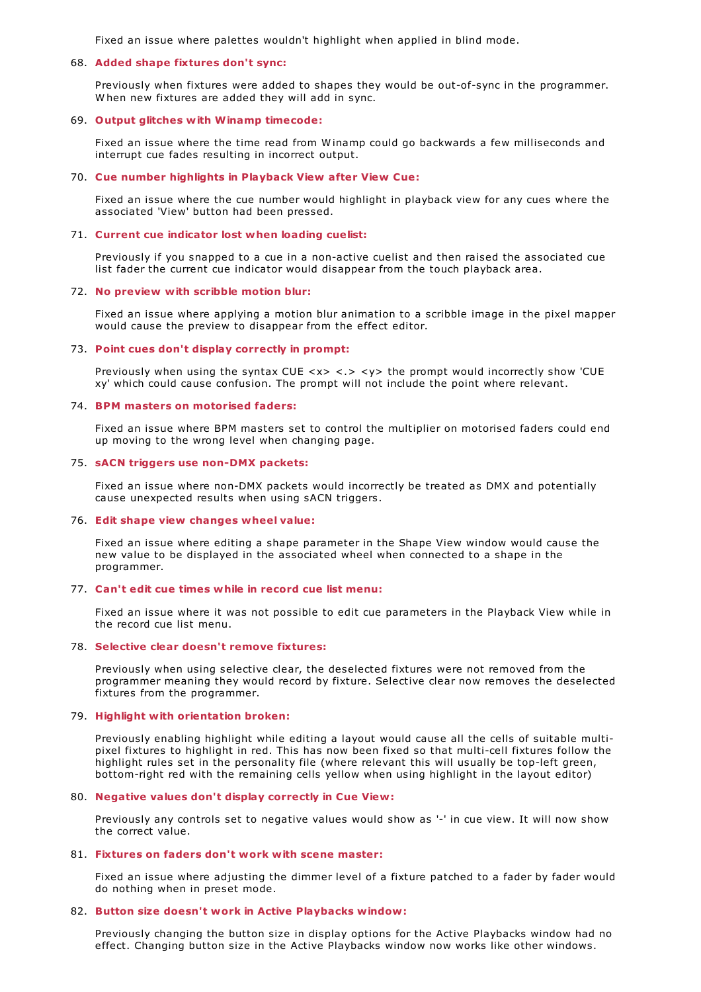Fixed an issue where palettes wouldn't highlight when applied in blind mode.

### 68. **Added shape fixtures don't sync:**

Previously when fixtures were added to shapes they would be out-of-sync in the programmer. W hen new fixtures are added they will add in sync.

#### 69. **Output glitches with Winamp timecode:**

Fixed an issue where the time read from W inamp could go backwards a few milliseconds and interrupt cue fades resulting in incorrect output.

#### 70. **Cue number highlights in Playback View after View Cue:**

Fixed an issue where the cue number would highlight in playback view for any cues where the associated 'View' button had been pressed.

#### 71. **Current cue indicator lost when loading cuelist:**

Previously if you snapped to a cue in a non-active cuelist and then raised the associated cue list fader the current cue indicator would disappear from the touch playback area.

### 72. **No preview with scribble motion blur:**

Fixed an issue where applying a motion blur animation to a scribble image in the pixel mapper would cause the preview to disappear from the effect editor.

# 73. **Point cues don't display correctly in prompt:**

Previously when using the syntax CUE  $\langle x \rangle \langle x \rangle$  and  $\langle x \rangle$  the prompt would incorrectly show 'CUE xy' which could cause confusion. The prompt will not include the point where relevant.

#### 74. **BPM masters on motorised faders:**

Fixed an issue where BPM masters set to control the multiplier on motorised faders could end up moving to the wrong level when changing page.

### 75. **sACN triggers use non-DMX packets:**

Fixed an issue where non-DMX packets would incorrectly be treated as DMX and potentially cause unexpected results when using sACN triggers.

### 76. **Edit shape view changes wheel value:**

Fixed an issue where editing a shape parameter in the Shape View window would cause the new value to be displayed in the associated wheel when connected to a shape in the programmer.

# 77. **Can't edit cue times while in record cue list menu:**

Fixed an issue where it was not possible to edit cue parameters in the Playback View while in the record cue list menu.

### 78. **Selective clear doesn't remove fixtures:**

Previously when using selective clear, the deselected fixtures were not removed from the programmer meaning they would record by fixture. Selective clear now removes the deselected fixtures from the programmer.

### 79. **Highlight with orientation broken:**

Previously enabling highlight while editing a layout would cause all the cells of suitable multipixel fixtures to highlight in red. This has now been fixed so that multi-cell fixtures follow the highlight rules set in the personality file (where relevant this will usually be top-left green, bottom-right red with the remaining cells yellow when using highlight in the layout editor)

# 80. **Negative values don't display correctly in Cue View:**

Previously any controls set to negative values would show as '-' in cue view. It will now show the correct value.

#### 81. **Fixtures on faders don't work with scene master:**

Fixed an issue where adjusting the dimmer level of a fixture patched to a fader by fader would do nothing when in preset mode.

#### 82. **Button size doesn't work in Active Playbacks window:**

Previously changing the button size in display options for the Active Playbacks window had no effect. Changing button size in the Active Playbacks window now works like other windows.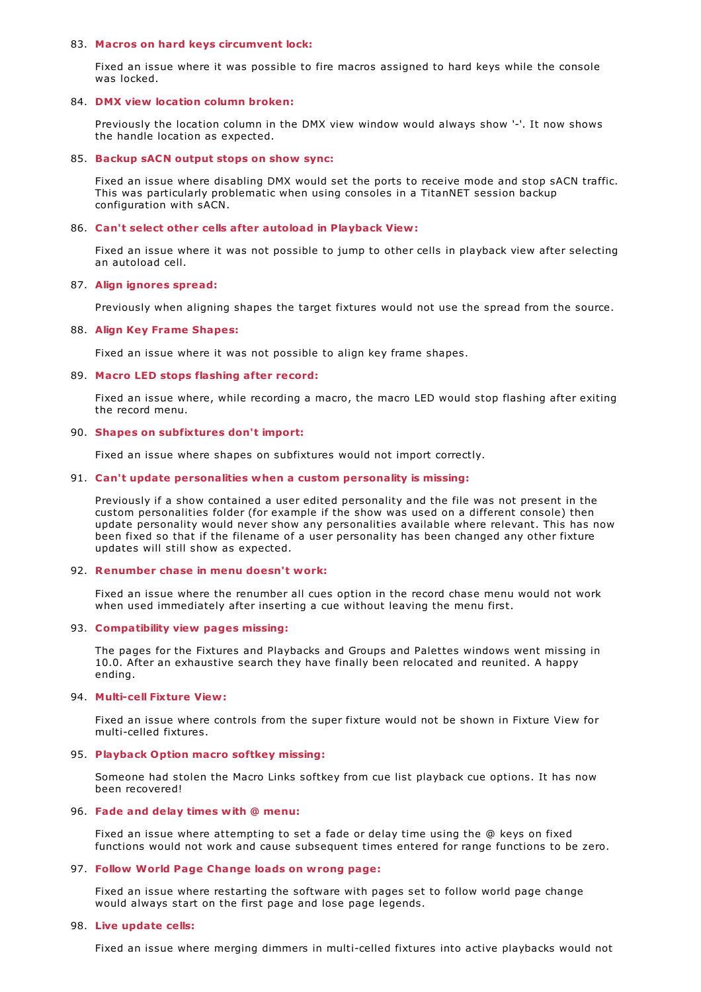#### 83. **Macros on hard keys circumvent lock:**

Fixed an issue where it was possible to fire macros assigned to hard keys while the console was locked.

### 84. **DMX view location column broken:**

Previously the location column in the DMX view window would always show '-'. It now shows the handle location as expected.

#### 85. **Backup sACN output stops on show sync:**

Fixed an issue where disabling DMX would set the ports to receive mode and stop sACN traffic. This was particularly problematic when using consoles in a TitanNET session backup configuration with sACN.

#### 86. **Can't select other cells after autoload in Playback View:**

Fixed an issue where it was not possible to jump to other cells in playback view after selecting an autoload cell.

#### 87. **Align ignores spread:**

Previously when aligning shapes the target fixtures would not use the spread from the source.

### 88. **Align Key Frame Shapes:**

Fixed an issue where it was not possible to align key frame shapes.

#### 89. **Macro LED stops flashing after record:**

Fixed an issue where, while recording a macro, the macro LED would stop flashing after exiting the record menu.

### 90. **Shapes on subfixtures don't import:**

Fixed an issue where shapes on subfixtures would not import correctly.

#### 91. **Can't update personalities when a custom personality is missing:**

Previously if a show contained a user edited personality and the file was not present in the custom personalities folder (for example if the show was used on a different console) then update personality would never show any personalities available where relevant. This has now been fixed so that if the filename of a user personality has been changed any other fixture updates will still show as expected.

### 92. **Renumber chase in menu doesn't work:**

Fixed an issue where the renumber all cues option in the record chase menu would not work when used immediately after inserting a cue without leaving the menu first.

### 93. **Compatibility view pages missing:**

The pages for the Fixtures and Playbacks and Groups and Palettes windows went missing in 10.0. After an exhaustive search they have finally been relocated and reunited. A happy ending.

#### 94. **Multi-cell Fixture View:**

Fixed an issue where controls from the super fixture would not be shown in Fixture View for multi-celled fixtures.

### 95. **Playback Option macro softkey missing:**

Someone had stolen the Macro Links softkey from cue list playback cue options. It has now been recovered!

#### 96. **Fade and delay times with @ menu:**

Fixed an issue where attempting to set a fade or delay time using the @ keys on fixed functions would not work and cause subsequent times entered for range functions to be zero.

# 97. **Follow World Page Change loads on wrong page:**

Fixed an issue where restarting the software with pages set to follow world page change would always start on the first page and lose page legends.

#### 98. **Live update cells:**

Fixed an issue where merging dimmers in multi-celled fixtures into active playbacks would not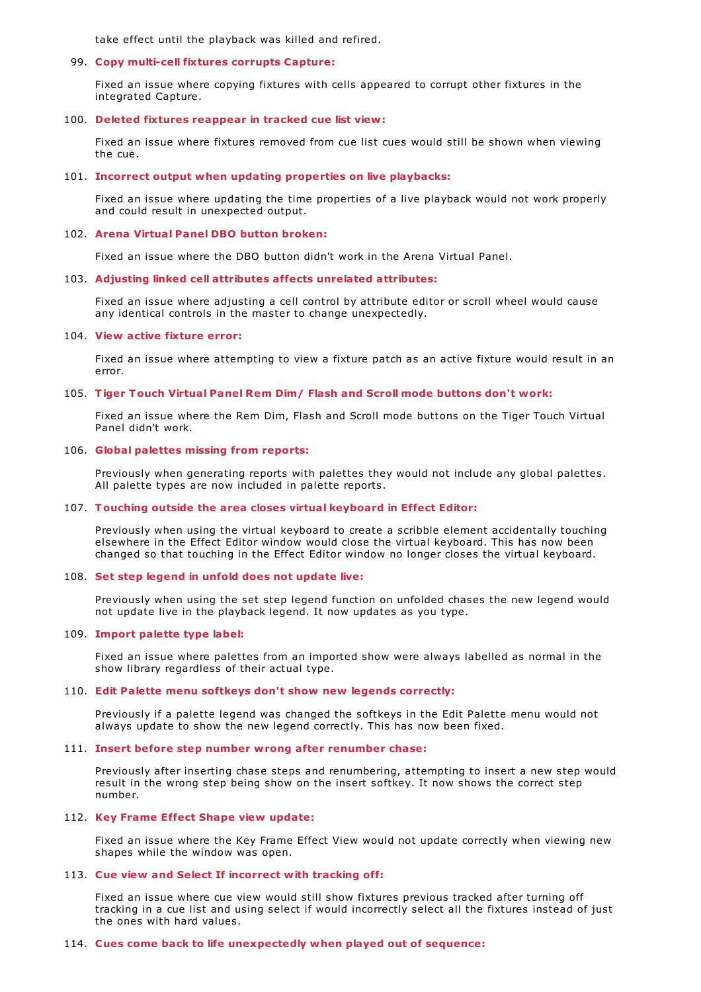take effect until the playback was killed and refired.

### 99. **Copy multi-cell fixtures corrupts Capture:**

Fixed an issue where copying fixtures with cells appeared to corrupt other fixtures in the integrated Capture.

#### 100. **Deleted fixtures reappear in tracked cue list view:**

Fixed an issue where fixtures removed from cue list cues would still be shown when viewing the cue.

#### 101. **Incorrect output when updating properties on live playbacks:**

Fixed an issue where updating the time properties of a live playback would not work properly and could result in unexpected output.

#### 102. **Arena Virtual Panel DBO button broken:**

Fixed an issue where the DBO button didn't work in the Arena Virtual Panel.

#### 103. **Adjusting linked cell attributes affects unrelated attributes:**

Fixed an issue where adjusting a cell control by attribute editor or scroll wheel would cause any identical controls in the master to change unexpectedly.

#### 104. **View active fixture error:**

Fixed an issue where attempting to view a fixture patch as an active fixture would result in an error.

### 105. **Tiger Touch Virtual Panel Rem Dim/ Flash and Scroll mode buttons don't work:**

Fixed an issue where the Rem Dim, Flash and Scroll mode buttons on the Tiger Touch Virtual Panel didn't work.

### 106. **Global palettes missing from reports:**

Previously when generating reports with palettes they would not include any global palettes. All palette types are now included in palette reports.

#### 107. **Touching outside the area closes virtual keyboard in Effect Editor:**

Previously when using the virtual keyboard to create a scribble element accidentally touching elsewhere in the Effect Editor window would close the virtual keyboard. This has now been changed so that touching in the Effect Editor window no longer closes the virtual keyboard.

### 108. **Set step legend in unfold does not update live:**

Previously when using the set step legend function on unfolded chases the new legend would not update live in the playback legend. It now updates as you type.

#### 109. **Import palette type label:**

Fixed an issue where palettes from an imported show were always labelled as normal in the show library regardless of their actual type.

#### 110. **Edit Palette menu softkeys don't show new legends correctly:**

Previously if a palette legend was changed the softkeys in the Edit Palette menu would not always update to show the new legend correctly. This has now been fixed.

### 111. **Insert before step number wrong after renumber chase:**

Previously after inserting chase steps and renumbering, attempting to insert a new step would result in the wrong step being show on the insert softkey. It now shows the correct step number.

#### 112. **Key Frame Effect Shape view update:**

Fixed an issue where the Key Frame Effect View would not update correctly when viewing new shapes while the window was open.

#### 113. **Cue view and Select If incorrect with tracking off:**

Fixed an issue where cue view would still show fixtures previous tracked after turning off tracking in a cue list and using select if would incorrectly select all the fixtures instead of just the ones with hard values.

#### 114. **Cues come back to life unexpectedly when played out of sequence:**